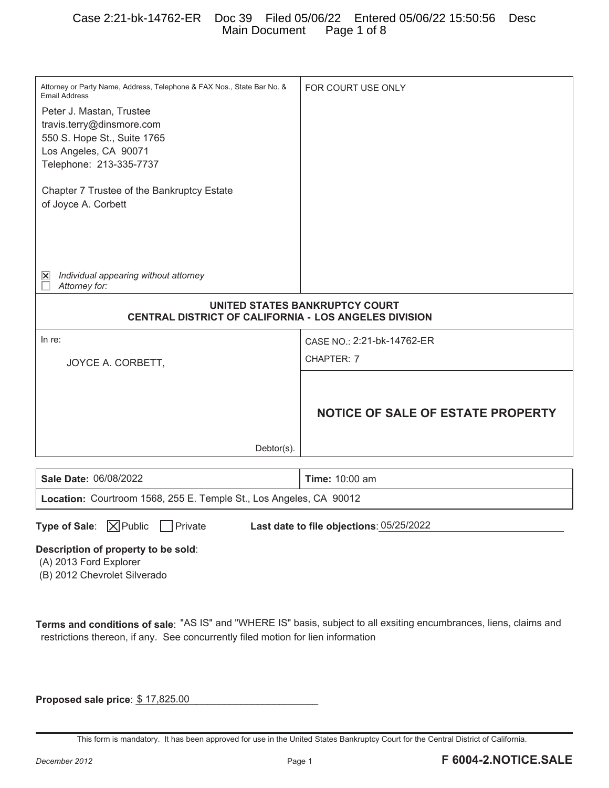# Case 2:21-bk-14762-ER Doc 39 Filed 05/06/22 Entered 05/06/22 15:50:56 Desc Main Document Page 1 of 8

| Attorney or Party Name, Address, Telephone & FAX Nos., State Bar No. &<br><b>Email Address</b><br>Peter J. Mastan, Trustee<br>travis.terry@dinsmore.com<br>550 S. Hope St., Suite 1765<br>Los Angeles, CA 90071<br>Telephone: 213-335-7737<br>Chapter 7 Trustee of the Bankruptcy Estate<br>of Joyce A. Corbett | FOR COURT USE ONLY                       |  |  |  |
|-----------------------------------------------------------------------------------------------------------------------------------------------------------------------------------------------------------------------------------------------------------------------------------------------------------------|------------------------------------------|--|--|--|
| Individual appearing without attorney<br>∣×∣<br>Attorney for:                                                                                                                                                                                                                                                   |                                          |  |  |  |
| UNITED STATES BANKRUPTCY COURT<br>CENTRAL DISTRICT OF CALIFORNIA - LOS ANGELES DIVISION                                                                                                                                                                                                                         |                                          |  |  |  |
| In re:                                                                                                                                                                                                                                                                                                          | CASE NO.: 2:21-bk-14762-ER               |  |  |  |
| JOYCE A. CORBETT,                                                                                                                                                                                                                                                                                               | CHAPTER: 7                               |  |  |  |
| Debtor(s).                                                                                                                                                                                                                                                                                                      | <b>NOTICE OF SALE OF ESTATE PROPERTY</b> |  |  |  |
| Sale Date: 06/08/2022                                                                                                                                                                                                                                                                                           | Time: 10:00 am                           |  |  |  |
| Location: Courtroom 1568, 255 E. Temple St., Los Angeles, CA 90012                                                                                                                                                                                                                                              |                                          |  |  |  |
| <b>Type of Sale:</b> $\boxed{\times}$ Public<br>$\Box$ Private<br>Last date to file objections: 05/25/2022<br>Description of property to be sold:<br>(A) 2013 Ford Explorer<br>(B) 2012 Chevrolet Silverado                                                                                                     |                                          |  |  |  |
| Terms and conditions of sale: "AS IS" and "WHERE IS" basis, subject to all exsiting encumbrances, liens, claims and<br>restrictions thereon, if any. See concurrently filed motion for lien information                                                                                                         |                                          |  |  |  |
| Proposed sale price: \$17,825.00                                                                                                                                                                                                                                                                                |                                          |  |  |  |

This form is mandatory. It has been approved for use in the United States Bankruptcy Court for the Central District of California.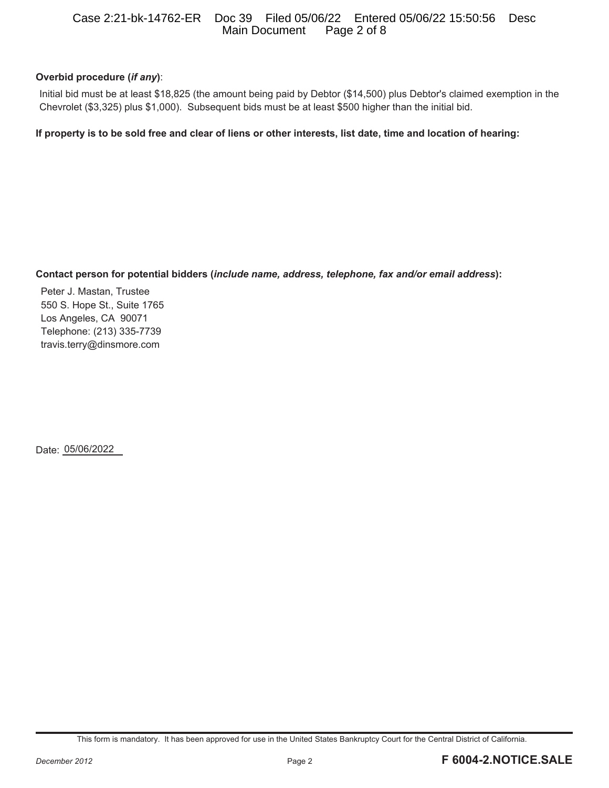## Case 2:21-bk-14762-ER Doc 39 Filed 05/06/22 Entered 05/06/22 15:50:56 Desc Main Document

# **Overbid procedure (***if any***)**:

Initial bid must be at least \$18,825 (the amount being paid by Debtor (\$14,500) plus Debtor's claimed exemption in the Chevrolet (\$3,325) plus \$1,000). Subsequent bids must be at least \$500 higher than the initial bid.

**If property is to be sold free and clear of liens or other interests, list date, time and location of hearing:** 

## **Contact person for potential bidders (***include name, address, telephone, fax and/or email address***):**

Peter J. Mastan, Trustee 550 S. Hope St., Suite 1765 Los Angeles, CA 90071 Telephone: (213) 335-7739 travis.terry@dinsmore.com

Date: 05/06/2022

This form is mandatory. It has been approved for use in the United States Bankruptcy Court for the Central District of California.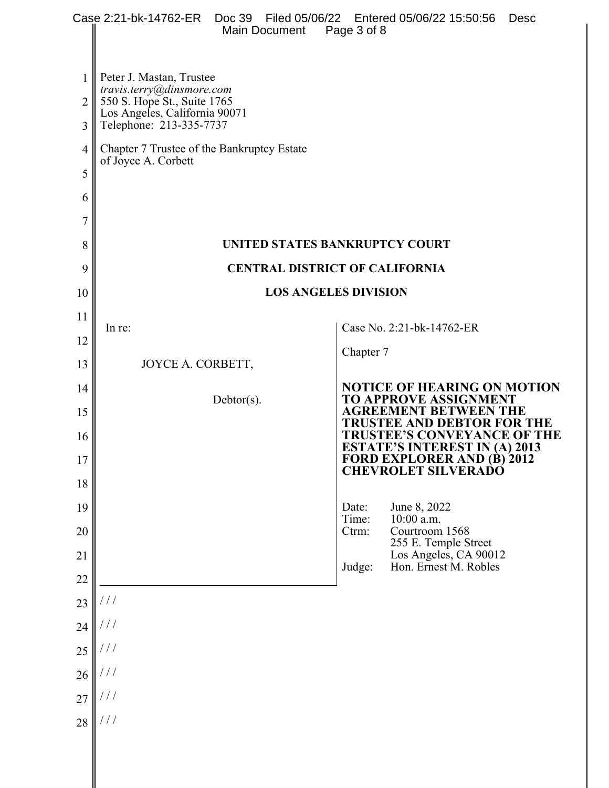|              | Case 2:21-bk-14762-ER  Doc 39  Filed 05/06/22  Entered 05/06/22  15:50:56<br>Main Document                           | Page 3 of 8    |                                                                                                         | <b>Desc</b> |  |  |
|--------------|----------------------------------------------------------------------------------------------------------------------|----------------|---------------------------------------------------------------------------------------------------------|-------------|--|--|
| $\mathbf{1}$ | Peter J. Mastan, Trustee                                                                                             |                |                                                                                                         |             |  |  |
| 2            | travis.terry@dinsmore.com<br>550 S. Hope St., Suite 1765<br>Los Angeles, California 90071<br>Telephone: 213-335-7737 |                |                                                                                                         |             |  |  |
| 3            |                                                                                                                      |                |                                                                                                         |             |  |  |
| 4            | Chapter 7 Trustee of the Bankruptcy Estate<br>of Joyce A. Corbett                                                    |                |                                                                                                         |             |  |  |
| 5            |                                                                                                                      |                |                                                                                                         |             |  |  |
| 6            |                                                                                                                      |                |                                                                                                         |             |  |  |
| 7            |                                                                                                                      |                |                                                                                                         |             |  |  |
| 8            | UNITED STATES BANKRUPTCY COURT                                                                                       |                |                                                                                                         |             |  |  |
| 9            | <b>CENTRAL DISTRICT OF CALIFORNIA</b>                                                                                |                |                                                                                                         |             |  |  |
| 10           | <b>LOS ANGELES DIVISION</b>                                                                                          |                |                                                                                                         |             |  |  |
| 11           | In re:                                                                                                               |                | Case No. 2:21-bk-14762-ER                                                                               |             |  |  |
| 12           |                                                                                                                      | Chapter 7      |                                                                                                         |             |  |  |
| 13           | JOYCE A. CORBETT,                                                                                                    |                | <b>NOTICE OF HEARING ON MOTION</b>                                                                      |             |  |  |
| 14<br>15     | $Debtor(s)$ .                                                                                                        |                | <b>TO APPROVE ASSIGNMENT</b><br><b>AGREEMENT BETWEEN THE</b>                                            |             |  |  |
| 16           |                                                                                                                      |                | <b>TRUSTEE AND DEBTOR FOR THE</b><br><b>TRUSTEE'S CONVEYANCE OF THE</b>                                 |             |  |  |
| 17           |                                                                                                                      |                | <b>ESTATE'S INTEREST IN (A) 2013</b><br><b>FORD EXPLORER AND (B) 2012</b><br><b>CHEVROLET SILVERADO</b> |             |  |  |
| 18           |                                                                                                                      |                |                                                                                                         |             |  |  |
| 19           |                                                                                                                      | Date:<br>Time: | June 8, 2022<br>10:00 a.m.                                                                              |             |  |  |
| 20           |                                                                                                                      | Ctrm:          | Courtroom 1568<br>255 E. Temple Street                                                                  |             |  |  |
| 21           |                                                                                                                      | Judge:         | Los Angeles, CA 90012<br>Hon. Ernest M. Robles                                                          |             |  |  |
| 22           |                                                                                                                      |                |                                                                                                         |             |  |  |
| 23           | $\frac{1}{2}$                                                                                                        |                |                                                                                                         |             |  |  |
| 24           | ///<br>111                                                                                                           |                |                                                                                                         |             |  |  |
| 25           | $\frac{1}{2}$                                                                                                        |                |                                                                                                         |             |  |  |
| 26<br>27     | $\frac{1}{2}$                                                                                                        |                |                                                                                                         |             |  |  |
| 28           | $\frac{1}{2}$                                                                                                        |                |                                                                                                         |             |  |  |
|              |                                                                                                                      |                |                                                                                                         |             |  |  |
|              |                                                                                                                      |                |                                                                                                         |             |  |  |
|              |                                                                                                                      |                |                                                                                                         |             |  |  |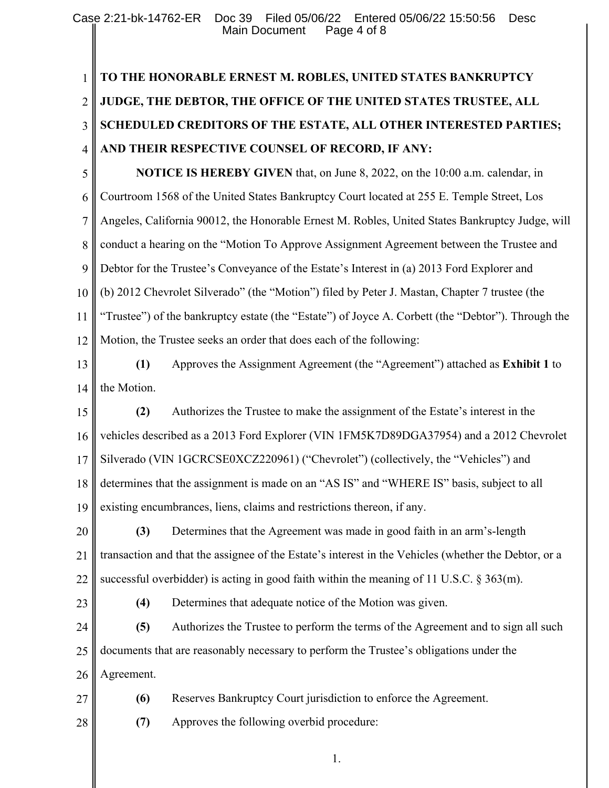## 1 2 3 4 5 6 7 8 9 10 11 12 13 14 15 16 17 18 19 20 21 22 23 24 25 26 27 28 **TO THE HONORABLE ERNEST M. ROBLES, UNITED STATES BANKRUPTCY JUDGE, THE DEBTOR, THE OFFICE OF THE UNITED STATES TRUSTEE, ALL SCHEDULED CREDITORS OF THE ESTATE, ALL OTHER INTERESTED PARTIES; AND THEIR RESPECTIVE COUNSEL OF RECORD, IF ANY: NOTICE IS HEREBY GIVEN** that, on June 8, 2022, on the 10:00 a.m. calendar, in Courtroom 1568 of the United States Bankruptcy Court located at 255 E. Temple Street, Los Angeles, California 90012, the Honorable Ernest M. Robles, United States Bankruptcy Judge, will conduct a hearing on the "Motion To Approve Assignment Agreement between the Trustee and Debtor for the Trustee's Conveyance of the Estate's Interest in (a) 2013 Ford Explorer and (b) 2012 Chevrolet Silverado" (the "Motion") filed by Peter J. Mastan, Chapter 7 trustee (the "Trustee") of the bankruptcy estate (the "Estate") of Joyce A. Corbett (the "Debtor"). Through the Motion, the Trustee seeks an order that does each of the following: **(1)** Approves the Assignment Agreement (the "Agreement") attached as **Exhibit 1** to the Motion. **(2)** Authorizes the Trustee to make the assignment of the Estate's interest in the vehicles described as a 2013 Ford Explorer (VIN 1FM5K7D89DGA37954) and a 2012 Chevrolet Silverado (VIN 1GCRCSE0XCZ220961) ("Chevrolet") (collectively, the "Vehicles") and determines that the assignment is made on an "AS IS" and "WHERE IS" basis, subject to all existing encumbrances, liens, claims and restrictions thereon, if any. **(3)** Determines that the Agreement was made in good faith in an arm's-length transaction and that the assignee of the Estate's interest in the Vehicles (whether the Debtor, or a successful overbidder) is acting in good faith within the meaning of 11 U.S.C.  $\S 363(m)$ . **(4)** Determines that adequate notice of the Motion was given. **(5)** Authorizes the Trustee to perform the terms of the Agreement and to sign all such documents that are reasonably necessary to perform the Trustee's obligations under the Agreement. **(6)** Reserves Bankruptcy Court jurisdiction to enforce the Agreement. **(7)** Approves the following overbid procedure:

1.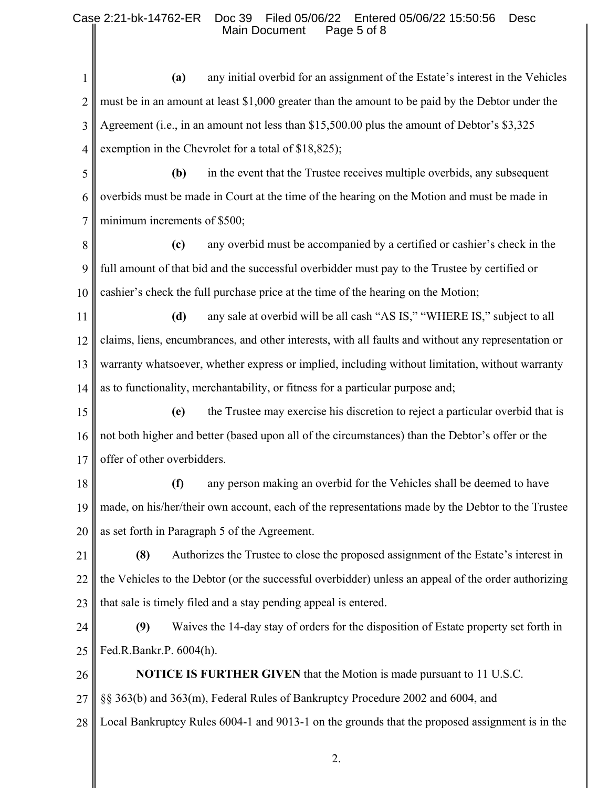## Case 2:21-bk-14762-ER Doc 39 Filed 05/06/22 Entered 05/06/22 15:50:56 Desc Main Document

1 2 3 4 5 6 7 8 9 10 11 12 13 14 15 16 17 18 19 20 21 22 23 24 25 26 27 28 **(a)** any initial overbid for an assignment of the Estate's interest in the Vehicles must be in an amount at least \$1,000 greater than the amount to be paid by the Debtor under the Agreement (i.e., in an amount not less than \$15,500.00 plus the amount of Debtor's \$3,325 exemption in the Chevrolet for a total of \$18,825); **(b)** in the event that the Trustee receives multiple overbids, any subsequent overbids must be made in Court at the time of the hearing on the Motion and must be made in minimum increments of \$500; **(c)** any overbid must be accompanied by a certified or cashier's check in the full amount of that bid and the successful overbidder must pay to the Trustee by certified or cashier's check the full purchase price at the time of the hearing on the Motion; **(d)** any sale at overbid will be all cash "AS IS," "WHERE IS," subject to all claims, liens, encumbrances, and other interests, with all faults and without any representation or warranty whatsoever, whether express or implied, including without limitation, without warranty as to functionality, merchantability, or fitness for a particular purpose and; **(e)** the Trustee may exercise his discretion to reject a particular overbid that is not both higher and better (based upon all of the circumstances) than the Debtor's offer or the offer of other overbidders. **(f)** any person making an overbid for the Vehicles shall be deemed to have made, on his/her/their own account, each of the representations made by the Debtor to the Trustee as set forth in Paragraph 5 of the Agreement. **(8)** Authorizes the Trustee to close the proposed assignment of the Estate's interest in the Vehicles to the Debtor (or the successful overbidder) unless an appeal of the order authorizing that sale is timely filed and a stay pending appeal is entered. **(9)** Waives the 14-day stay of orders for the disposition of Estate property set forth in Fed.R.Bankr.P. 6004(h). **NOTICE IS FURTHER GIVEN** that the Motion is made pursuant to 11 U.S.C. §§ 363(b) and 363(m), Federal Rules of Bankruptcy Procedure 2002 and 6004, and Local Bankruptcy Rules 6004-1 and 9013-1 on the grounds that the proposed assignment is in the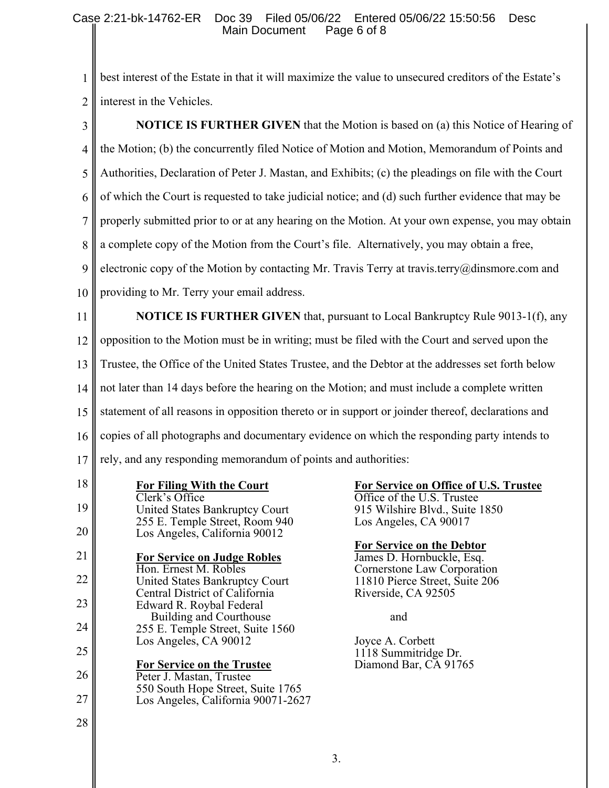1 2 interest in the Vehicles. best interest of the Estate in that it will maximize the value to unsecured creditors of the Estate's

| 3              | <b>NOTICE IS FURTHER GIVEN</b> that the Motion is based on (a) this Notice of Hearing of            |                                                                            |  |
|----------------|-----------------------------------------------------------------------------------------------------|----------------------------------------------------------------------------|--|
| $\overline{4}$ | the Motion; (b) the concurrently filed Notice of Motion and Motion, Memorandum of Points and        |                                                                            |  |
| 5              | Authorities, Declaration of Peter J. Mastan, and Exhibits; (c) the pleadings on file with the Court |                                                                            |  |
| 6              | of which the Court is requested to take judicial notice; and (d) such further evidence that may be  |                                                                            |  |
| 7              | properly submitted prior to or at any hearing on the Motion. At your own expense, you may obtain    |                                                                            |  |
| 8              | a complete copy of the Motion from the Court's file. Alternatively, you may obtain a free,          |                                                                            |  |
| 9              | electronic copy of the Motion by contacting Mr. Travis Terry at travis.terry@dinsmore.com and       |                                                                            |  |
| 10             | providing to Mr. Terry your email address.                                                          |                                                                            |  |
| 11             | <b>NOTICE IS FURTHER GIVEN</b> that, pursuant to Local Bankruptcy Rule 9013-1(f), any               |                                                                            |  |
| 12             | opposition to the Motion must be in writing; must be filed with the Court and served upon the       |                                                                            |  |
| 13             | Trustee, the Office of the United States Trustee, and the Debtor at the addresses set forth below   |                                                                            |  |
| 14             | not later than 14 days before the hearing on the Motion; and must include a complete written        |                                                                            |  |
| 15             | statement of all reasons in opposition thereto or in support or joinder thereof, declarations and   |                                                                            |  |
| 16             | copies of all photographs and documentary evidence on which the responding party intends to         |                                                                            |  |
| 17             | rely, and any responding memorandum of points and authorities:                                      |                                                                            |  |
| 18             | <b>For Filing With the Court</b><br>Clerk's Office                                                  | <b>For Service on Office of U.S. Trustee</b><br>Office of the U.S. Trustee |  |
| 19             | United States Bankruptcy Court<br>255 E. Temple Street, Room 940                                    | 915 Wilshire Blvd., Suite 1850<br>Los Angeles, CA 90017                    |  |
| 20             | Los Angeles, California 90012                                                                       | <b>For Service on the Debtor</b>                                           |  |
| 21             | <b>For Service on Judge Robles</b><br>Hon. Ernest M. Robles                                         | James D. Hornbuckle, Esq.<br>Cornerstone Law Corporation                   |  |
| 22             | United States Bankruptcy Court<br>Central District of California                                    | 11810 Pierce Street, Suite 206<br>Riverside, CA 92505                      |  |
| 23             | Edward R. Roybal Federal<br>Building and Courthouse                                                 | and                                                                        |  |
| 24             | 255 E. Temple Street, Suite 1560<br>Los Angeles, CA 90012                                           | Joyce A. Corbett                                                           |  |
| 25             | <b>For Service on the Trustee</b>                                                                   | 1118 Summitridge Dr.<br>Diamond Bar, CA 91765                              |  |
| 26             | Peter J. Mastan, Trustee<br>550 South Hope Street, Suite 1765                                       |                                                                            |  |
| 27             | Los Angeles, California 90071-2627                                                                  |                                                                            |  |
| 28             |                                                                                                     |                                                                            |  |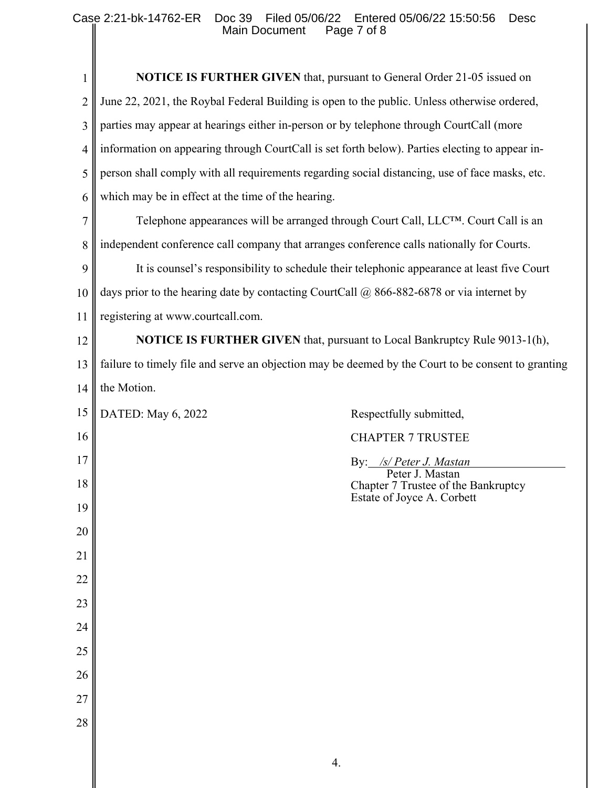| 1               | <b>NOTICE IS FURTHER GIVEN</b> that, pursuant to General Order 21-05 issued on                     |  |  |
|-----------------|----------------------------------------------------------------------------------------------------|--|--|
| 2               | June 22, 2021, the Roybal Federal Building is open to the public. Unless otherwise ordered,        |  |  |
| 3               | parties may appear at hearings either in-person or by telephone through CourtCall (more            |  |  |
| 4               | information on appearing through CourtCall is set forth below). Parties electing to appear in-     |  |  |
| 5               | person shall comply with all requirements regarding social distancing, use of face masks, etc.     |  |  |
| 6               | which may be in effect at the time of the hearing.                                                 |  |  |
| $\overline{7}$  | Telephone appearances will be arranged through Court Call, LLCTM. Court Call is an                 |  |  |
| 8               | independent conference call company that arranges conference calls nationally for Courts.          |  |  |
| 9               | It is counsel's responsibility to schedule their telephonic appearance at least five Court         |  |  |
| 10              | days prior to the hearing date by contacting CourtCall $\omega$ 866-882-6878 or via internet by    |  |  |
| 11              | registering at www.courtcall.com.                                                                  |  |  |
| 12              | <b>NOTICE IS FURTHER GIVEN</b> that, pursuant to Local Bankruptcy Rule 9013-1(h),                  |  |  |
| 13              | failure to timely file and serve an objection may be deemed by the Court to be consent to granting |  |  |
| 14              | the Motion.                                                                                        |  |  |
| 15              | DATED: May 6, 2022<br>Respectfully submitted,                                                      |  |  |
| 16              | <b>CHAPTER 7 TRUSTEE</b>                                                                           |  |  |
| 17              | By: /s/ Peter J. Mastan<br>Peter J. Mastan                                                         |  |  |
| 18              | Chapter 7 Trustee of the Bankruptcy<br>Estate of Joyce A. Corbett                                  |  |  |
| 19              |                                                                                                    |  |  |
| 20              |                                                                                                    |  |  |
| 21              |                                                                                                    |  |  |
| 22              |                                                                                                    |  |  |
| 23              |                                                                                                    |  |  |
| 24              |                                                                                                    |  |  |
| 25              |                                                                                                    |  |  |
| $\overline{26}$ |                                                                                                    |  |  |
| 27              |                                                                                                    |  |  |
| 28              |                                                                                                    |  |  |
|                 | 4.                                                                                                 |  |  |

║